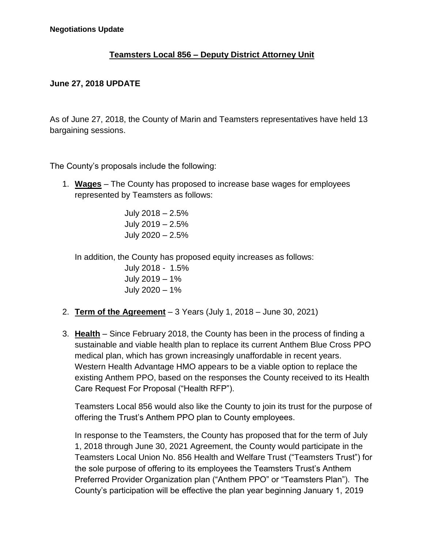## **Teamsters Local 856 – Deputy District Attorney Unit**

## **June 27, 2018 UPDATE**

As of June 27, 2018, the County of Marin and Teamsters representatives have held 13 bargaining sessions.

The County's proposals include the following:

1. **Wages** – The County has proposed to increase base wages for employees represented by Teamsters as follows:

> July 2018 – 2.5% July 2019 – 2.5% July 2020 – 2.5%

In addition, the County has proposed equity increases as follows:

July 2018 - 1.5% July 2019 – 1% July 2020 – 1%

- 2. **Term of the Agreement** 3 Years (July 1, 2018 June 30, 2021)
- 3. **Health** Since February 2018, the County has been in the process of finding a sustainable and viable health plan to replace its current Anthem Blue Cross PPO medical plan, which has grown increasingly unaffordable in recent years. Western Health Advantage HMO appears to be a viable option to replace the existing Anthem PPO, based on the responses the County received to its Health Care Request For Proposal ("Health RFP").

Teamsters Local 856 would also like the County to join its trust for the purpose of offering the Trust's Anthem PPO plan to County employees.

In response to the Teamsters, the County has proposed that for the term of July 1, 2018 through June 30, 2021 Agreement, the County would participate in the Teamsters Local Union No. 856 Health and Welfare Trust ("Teamsters Trust") for the sole purpose of offering to its employees the Teamsters Trust's Anthem Preferred Provider Organization plan ("Anthem PPO" or "Teamsters Plan"). The County's participation will be effective the plan year beginning January 1, 2019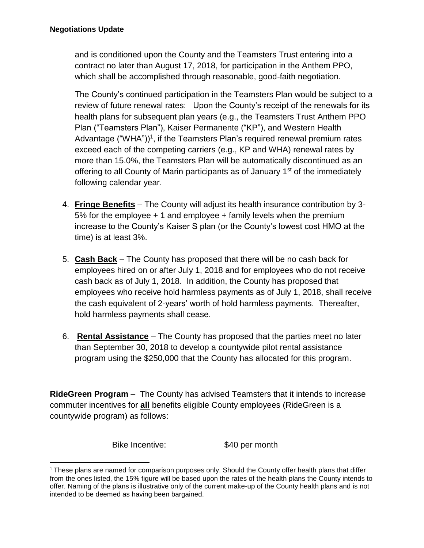and is conditioned upon the County and the Teamsters Trust entering into a contract no later than August 17, 2018, for participation in the Anthem PPO, which shall be accomplished through reasonable, good-faith negotiation.

The County's continued participation in the Teamsters Plan would be subject to a review of future renewal rates: Upon the County's receipt of the renewals for its health plans for subsequent plan years (e.g., the Teamsters Trust Anthem PPO Plan ("Teamsters Plan"), Kaiser Permanente ("KP"), and Western Health Advantage ("WHA"))<sup>1</sup>, if the Teamsters Plan's required renewal premium rates exceed each of the competing carriers (e.g., KP and WHA) renewal rates by more than 15.0%, the Teamsters Plan will be automatically discontinued as an offering to all County of Marin participants as of January  $1<sup>st</sup>$  of the immediately following calendar year.

- 4. **Fringe Benefits** The County will adjust its health insurance contribution by 3- 5% for the employee  $+1$  and employee  $+$  family levels when the premium increase to the County's Kaiser S plan (or the County's lowest cost HMO at the time) is at least 3%.
- 5. **Cash Back** The County has proposed that there will be no cash back for employees hired on or after July 1, 2018 and for employees who do not receive cash back as of July 1, 2018. In addition, the County has proposed that employees who receive hold harmless payments as of July 1, 2018, shall receive the cash equivalent of 2-years' worth of hold harmless payments. Thereafter, hold harmless payments shall cease.
- 6. **Rental Assistance** The County has proposed that the parties meet no later than September 30, 2018 to develop a countywide pilot rental assistance program using the \$250,000 that the County has allocated for this program.

**RideGreen Program** – The County has advised Teamsters that it intends to increase commuter incentives for **all** benefits eligible County employees (RideGreen is a countywide program) as follows:

Bike Incentive: \$40 per month

<sup>&</sup>lt;sup>1</sup> These plans are named for comparison purposes only. Should the County offer health plans that differ from the ones listed, the 15% figure will be based upon the rates of the health plans the County intends to offer. Naming of the plans is illustrative only of the current make-up of the County health plans and is not intended to be deemed as having been bargained.